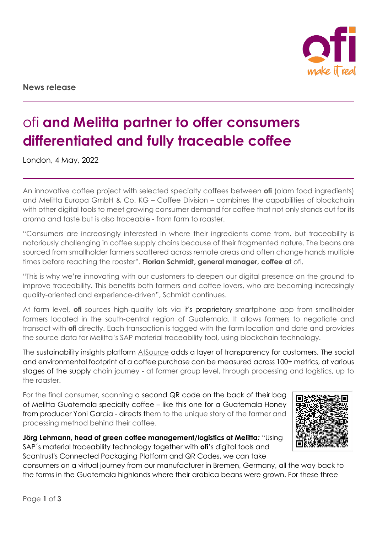

**News release** 

# ofi **and Melitta partner to offer consumers differentiated and fully traceable coffee**

London, 4 May, 2022

An innovative coffee project with selected specialty coffees between **ofi** (olam food ingredients) and Melitta Europa GmbH & Co. KG – Coffee Division – combines the capabilities of blockchain with other digital tools to meet growing consumer demand for coffee that not only stands out for its aroma and taste but is also traceable - from farm to roaster.

"Consumers are increasingly interested in where their ingredients come from, but traceability is notoriously challenging in coffee supply chains because of their fragmented nature. The beans are sourced from smallholder farmers scattered across remote areas and often change hands multiple times before reaching the roaster". **Florian Schmidt, general manager, coffee at** ofi.

"This is why we're innovating with our customers to deepen our digital presence on the ground to improve traceability. This benefits both farmers and coffee lovers, who are becoming increasingly quality-oriented and experience-driven", Schmidt continues.

At farm level, **ofi** sources high-quality lots via it's proprietary smartphone app from smallholder farmers located in the south-central region of Guatemala. It allows farmers to negotiate and transact with **ofi** directly. Each transaction is tagged with the farm location and date and provides the source data for Melitta's SAP material traceability tool, using blockchain technology.

The sustainability insights platform [AtSource](http://www.atsource.io/) adds a layer of transparency for customers. The social and environmental footprint of a coffee purchase can be measured across 100+ metrics, at various stages of the supply chain journey - at farmer group level, through processing and logistics, up to the roaster.

For the final consumer, scanning a second QR code on the back of their bag of Melitta Guatemala specialty coffee – like this one for a Guatemala Honey from producer Yoni Garcia - directs them to the unique story of the farmer and processing method behind their coffee.

**Jörg Lehmann, head of green coffee management/logistics at Melitta***:* "Using SAP´s material traceability technology together with **ofi**'s digital tools and Scantrust's Connected Packaging Platform and QR Codes, we can take



consumers on a virtual journey from our manufacturer in Bremen, Germany, all the way back to the farms in the Guatemala highlands where their arabica beans were grown. For these three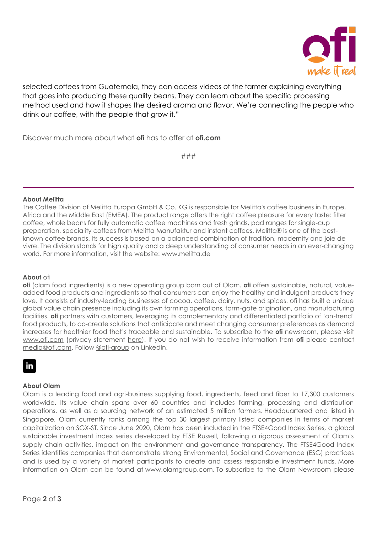

selected coffees from Guatemala, they can access videos of the farmer explaining everything that goes into producing these quality beans. They can learn about the specific processing method used and how it shapes the desired aroma and flavor. We're connecting the people who drink our coffee, with the people that grow it."

Discover much more about what **ofi** has to offer at **ofi.com**

###

### **About Melitta**

The Coffee Division of Melitta Europa GmbH & Co. KG is responsible for Melitta's coffee business in Europe, Africa and the Middle East (EMEA). The product range offers the right coffee pleasure for every taste: filter coffee, whole beans for fully automatic coffee machines and fresh grinds, pad ranges for single-cup preparation, speciality coffees from Melitta Manufaktur and instant coffees. Melitta® is one of the bestknown coffee brands. Its success is based on a balanced combination of tradition, modernity and joie de vivre. The division stands for high quality and a deep understanding of consumer needs in an ever-changing world. For more information, visit the website: www.melitta.de

### **About** ofi

**ofi** (olam food ingredients) is a new operating group born out of Olam. **ofi** offers sustainable, natural, valueadded food products and ingredients so that consumers can enjoy the healthy and indulgent products they love. It consists of industry-leading businesses of cocoa, coffee, dairy, nuts, and spices. ofi has built a unique global value chain presence including its own farming operations, farm-gate origination, and manufacturing facilities. **ofi** partners with customers, leveraging its complementary and differentiated portfolio of 'on-trend' food products, to co-create solutions that anticipate and meet changing consumer preferences as demand increases for healthier food that's traceable and sustainable. To subscribe to the **ofi** newsroom, please visit [www.ofi.com](http://www.ofi.com/) (privacy statement [here\)](http://www.ofi.com/privacy.html). If you do not wish to receive information from **ofi** please contact [media@ofi.com.](mailto:media@ofi.com) Follow [@ofi-group](https://www.linkedin.com/company/ofi-group) on LinkedIn.

## in

### **About Olam**

Olam is a leading food and agri-business supplying food, ingredients, feed and fiber to 17,300 customers worldwide. Its value chain spans over 60 countries and includes farming, processing and distribution operations, as well as a sourcing network of an estimated 5 million farmers. Headquartered and listed in Singapore, Olam currently ranks among the top 30 largest primary listed companies in terms of market capitalization on SGX-ST. Since June 2020, Olam has been included in the FTSE4Good Index Series, a global sustainable investment index series developed by FTSE Russell, following a rigorous assessment of Olam's supply chain activities, impact on the environment and governance transparency. The FTSE4Good Index Series identifies companies that demonstrate strong Environmental, Social and Governance (ESG) practices and is used by a variety of market participants to create and assess responsible investment funds. More information on Olam can be found at [www.olamgroup.com.](https://www.olamgroup.com/) To subscribe to the Olam Newsroom please